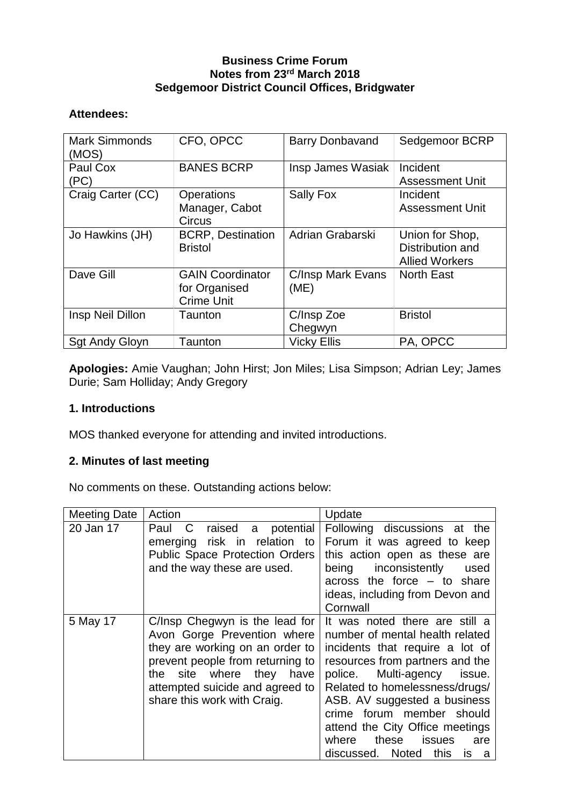### **Business Crime Forum Notes from 23rd March 2018 Sedgemoor District Council Offices, Bridgwater**

## **Attendees:**

| <b>Mark Simmonds</b><br>(MOS) | CFO, OPCC                                                     | <b>Barry Donbavand</b>           | Sedgemoor BCRP                                               |
|-------------------------------|---------------------------------------------------------------|----------------------------------|--------------------------------------------------------------|
| Paul Cox<br>(PC)              | <b>BANES BCRP</b>                                             | Insp James Wasiak                | Incident<br><b>Assessment Unit</b>                           |
| Craig Carter (CC)             | <b>Operations</b><br>Manager, Cabot<br>Circus                 | <b>Sally Fox</b>                 | Incident<br><b>Assessment Unit</b>                           |
| Jo Hawkins (JH)               | <b>BCRP, Destination</b><br><b>Bristol</b>                    | Adrian Grabarski                 | Union for Shop,<br>Distribution and<br><b>Allied Workers</b> |
| Dave Gill                     | <b>GAIN Coordinator</b><br>for Organised<br><b>Crime Unit</b> | <b>C/Insp Mark Evans</b><br>(ME) | <b>North East</b>                                            |
| Insp Neil Dillon              | Taunton                                                       | C/Insp Zoe<br>Chegwyn            | <b>Bristol</b>                                               |
| <b>Sgt Andy Gloyn</b>         | Taunton                                                       | <b>Vicky Ellis</b>               | PA, OPCC                                                     |

**Apologies:** Amie Vaughan; John Hirst; Jon Miles; Lisa Simpson; Adrian Ley; James Durie; Sam Holliday; Andy Gregory

## **1. Introductions**

MOS thanked everyone for attending and invited introductions.

# **2. Minutes of last meeting**

No comments on these. Outstanding actions below:

| <b>Meeting Date</b> | Action                                                                                                                                                                                                                                | Update                                                                                                                                                                                                                                                                                                                                                                       |
|---------------------|---------------------------------------------------------------------------------------------------------------------------------------------------------------------------------------------------------------------------------------|------------------------------------------------------------------------------------------------------------------------------------------------------------------------------------------------------------------------------------------------------------------------------------------------------------------------------------------------------------------------------|
| 20 Jan 17           | $\overline{C}$<br>raised<br>potential<br>Paul<br>a<br>emerging risk in relation to<br><b>Public Space Protection Orders</b><br>and the way these are used.                                                                            | Following discussions at the<br>Forum it was agreed to keep<br>this action open as these are<br>inconsistently<br>being<br>used<br>across the force $-$ to share<br>ideas, including from Devon and<br>Cornwall                                                                                                                                                              |
| 5 May 17            | C/Insp Chegwyn is the lead for<br>Avon Gorge Prevention where<br>they are working on an order to<br>prevent people from returning to<br>the site where they<br>have<br>attempted suicide and agreed to<br>share this work with Craig. | It was noted there are still a<br>number of mental health related<br>incidents that require a lot of<br>resources from partners and the<br>police. Multi-agency issue.<br>Related to homelessness/drugs/<br>ASB. AV suggested a business<br>crime forum member should<br>attend the City Office meetings<br>these<br>issues<br>where<br>are<br>discussed. Noted this<br>is a |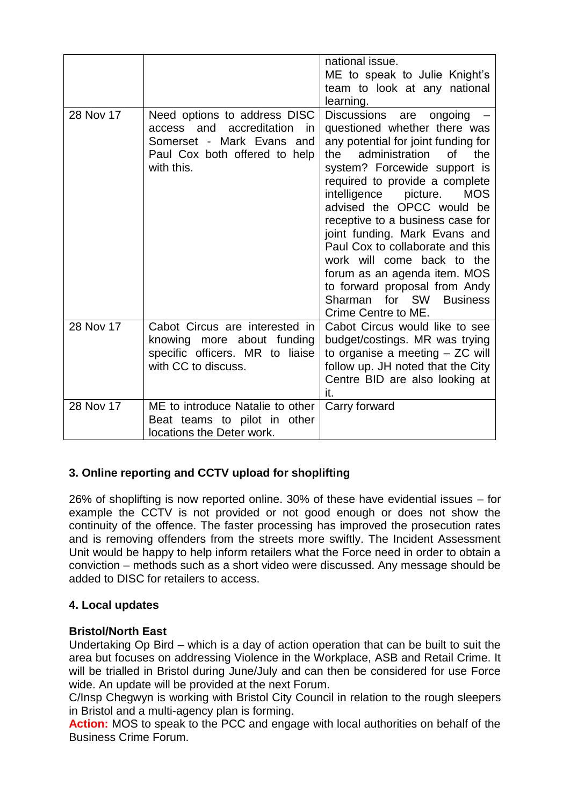|           |                                                                                                                                              | national issue.<br>ME to speak to Julie Knight's<br>team to look at any national<br>learning.                                                                                                                                                                                                                                                                                                                                                                                                                                              |
|-----------|----------------------------------------------------------------------------------------------------------------------------------------------|--------------------------------------------------------------------------------------------------------------------------------------------------------------------------------------------------------------------------------------------------------------------------------------------------------------------------------------------------------------------------------------------------------------------------------------------------------------------------------------------------------------------------------------------|
| 28 Nov 17 | Need options to address DISC<br>access and accreditation<br>- in<br>Somerset - Mark Evans and<br>Paul Cox both offered to help<br>with this. | Discussions<br>ongoing<br>are<br>questioned whether there was<br>any potential for joint funding for<br>administration<br>the<br>of<br>the<br>system? Forcewide support is<br>required to provide a complete<br>intelligence picture.<br><b>MOS</b><br>advised the OPCC would be<br>receptive to a business case for<br>joint funding. Mark Evans and<br>Paul Cox to collaborate and this<br>work will come back to the<br>forum as an agenda item. MOS<br>to forward proposal from Andy<br>Sharman for SW Business<br>Crime Centre to ME. |
| 28 Nov 17 | Cabot Circus are interested in<br>knowing more about funding<br>specific officers. MR to liaise<br>with CC to discuss.                       | Cabot Circus would like to see<br>budget/costings. MR was trying<br>to organise a meeting $-$ ZC will<br>follow up. JH noted that the City<br>Centre BID are also looking at<br>it.                                                                                                                                                                                                                                                                                                                                                        |
| 28 Nov 17 | ME to introduce Natalie to other<br>Beat teams to pilot in other<br>locations the Deter work.                                                | Carry forward                                                                                                                                                                                                                                                                                                                                                                                                                                                                                                                              |

# **3. Online reporting and CCTV upload for shoplifting**

26% of shoplifting is now reported online. 30% of these have evidential issues – for example the CCTV is not provided or not good enough or does not show the continuity of the offence. The faster processing has improved the prosecution rates and is removing offenders from the streets more swiftly. The Incident Assessment Unit would be happy to help inform retailers what the Force need in order to obtain a conviction – methods such as a short video were discussed. Any message should be added to DISC for retailers to access.

## **4. Local updates**

#### **Bristol/North East**

Undertaking Op Bird – which is a day of action operation that can be built to suit the area but focuses on addressing Violence in the Workplace, ASB and Retail Crime. It will be trialled in Bristol during June/July and can then be considered for use Force wide. An update will be provided at the next Forum.

C/Insp Chegwyn is working with Bristol City Council in relation to the rough sleepers in Bristol and a multi-agency plan is forming.

**Action:** MOS to speak to the PCC and engage with local authorities on behalf of the Business Crime Forum.